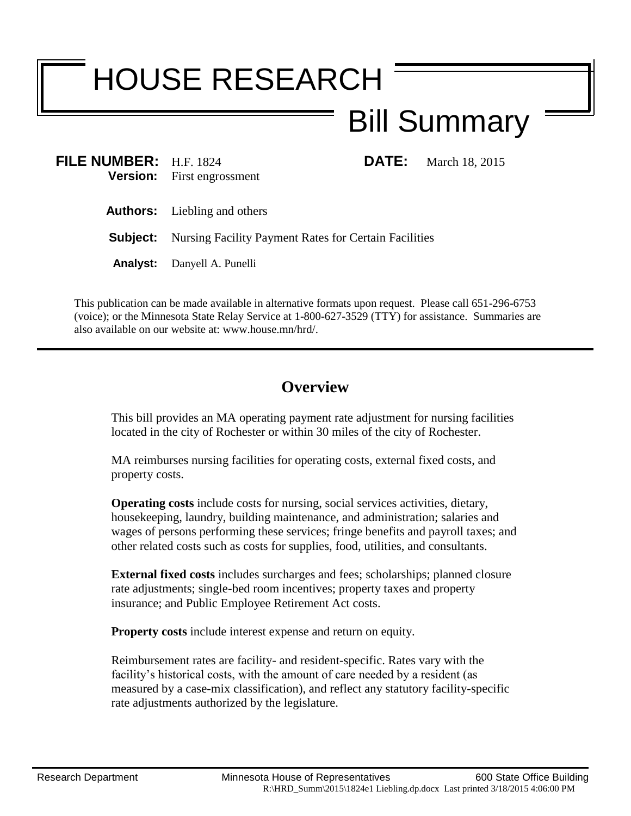# HOUSE RESEARCH

# Bill Summary

| <b>FILE NUMBER:</b> H.F. 1824 | <b>Version:</b> First engrossment                                     | <b>DATE:</b> March 18, 2015 |
|-------------------------------|-----------------------------------------------------------------------|-----------------------------|
|                               | <b>Authors:</b> Liebling and others                                   |                             |
|                               | <b>Subject:</b> Nursing Facility Payment Rates for Certain Facilities |                             |
|                               | <b>Analyst:</b> Danyell A. Punelli                                    |                             |

This publication can be made available in alternative formats upon request. Please call 651-296-6753 (voice); or the Minnesota State Relay Service at 1-800-627-3529 (TTY) for assistance. Summaries are also available on our website at: www.house.mn/hrd/.

## **Overview**

This bill provides an MA operating payment rate adjustment for nursing facilities located in the city of Rochester or within 30 miles of the city of Rochester.

MA reimburses nursing facilities for operating costs, external fixed costs, and property costs.

**Operating costs** include costs for nursing, social services activities, dietary, housekeeping, laundry, building maintenance, and administration; salaries and wages of persons performing these services; fringe benefits and payroll taxes; and other related costs such as costs for supplies, food, utilities, and consultants.

**External fixed costs** includes surcharges and fees; scholarships; planned closure rate adjustments; single-bed room incentives; property taxes and property insurance; and Public Employee Retirement Act costs.

**Property costs** include interest expense and return on equity.

Reimbursement rates are facility- and resident-specific. Rates vary with the facility's historical costs, with the amount of care needed by a resident (as measured by a case-mix classification), and reflect any statutory facility-specific rate adjustments authorized by the legislature.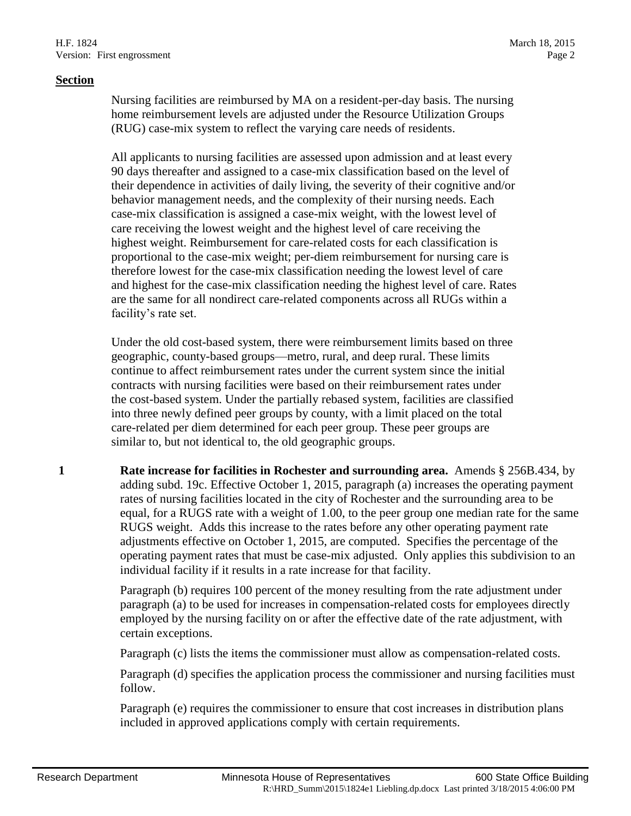#### **Section**

Nursing facilities are reimbursed by MA on a resident-per-day basis. The nursing home reimbursement levels are adjusted under the Resource Utilization Groups (RUG) case-mix system to reflect the varying care needs of residents.

All applicants to nursing facilities are assessed upon admission and at least every 90 days thereafter and assigned to a case-mix classification based on the level of their dependence in activities of daily living, the severity of their cognitive and/or behavior management needs, and the complexity of their nursing needs. Each case-mix classification is assigned a case-mix weight, with the lowest level of care receiving the lowest weight and the highest level of care receiving the highest weight. Reimbursement for care-related costs for each classification is proportional to the case-mix weight; per-diem reimbursement for nursing care is therefore lowest for the case-mix classification needing the lowest level of care and highest for the case-mix classification needing the highest level of care. Rates are the same for all nondirect care-related components across all RUGs within a facility's rate set.

Under the old cost-based system, there were reimbursement limits based on three geographic, county-based groups—metro, rural, and deep rural. These limits continue to affect reimbursement rates under the current system since the initial contracts with nursing facilities were based on their reimbursement rates under the cost-based system. Under the partially rebased system, facilities are classified into three newly defined peer groups by county, with a limit placed on the total care-related per diem determined for each peer group. These peer groups are similar to, but not identical to, the old geographic groups.

**1 Rate increase for facilities in Rochester and surrounding area.** Amends § 256B.434, by adding subd. 19c. Effective October 1, 2015, paragraph (a) increases the operating payment rates of nursing facilities located in the city of Rochester and the surrounding area to be equal, for a RUGS rate with a weight of 1.00, to the peer group one median rate for the same RUGS weight. Adds this increase to the rates before any other operating payment rate adjustments effective on October 1, 2015, are computed. Specifies the percentage of the operating payment rates that must be case-mix adjusted. Only applies this subdivision to an individual facility if it results in a rate increase for that facility.

> Paragraph (b) requires 100 percent of the money resulting from the rate adjustment under paragraph (a) to be used for increases in compensation-related costs for employees directly employed by the nursing facility on or after the effective date of the rate adjustment, with certain exceptions.

Paragraph (c) lists the items the commissioner must allow as compensation-related costs.

Paragraph (d) specifies the application process the commissioner and nursing facilities must follow.

Paragraph (e) requires the commissioner to ensure that cost increases in distribution plans included in approved applications comply with certain requirements.